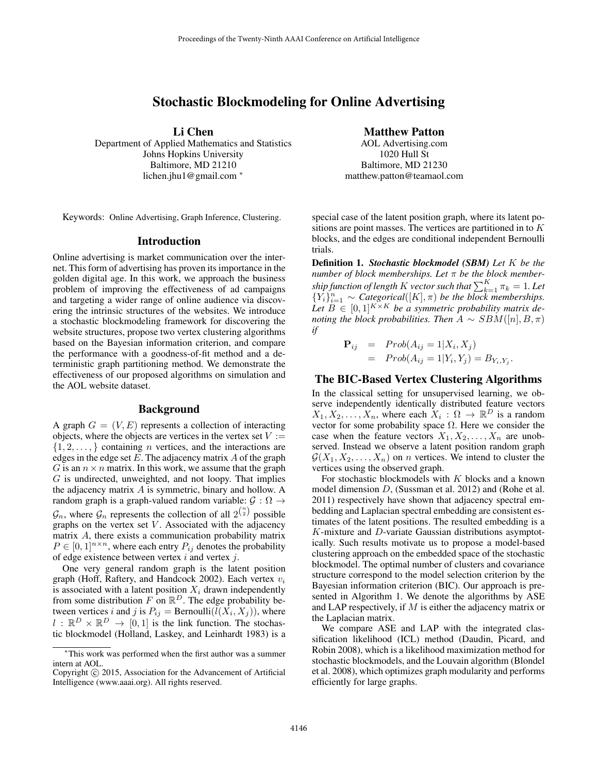# Stochastic Blockmodeling for Online Advertising

Li Chen

Department of Applied Mathematics and Statistics Johns Hopkins University Baltimore, MD 21210 lichen.jhu1@gmail.com <sup>∗</sup>

Keywords: Online Advertising, Graph Inference, Clustering.

### Introduction

Online advertising is market communication over the internet. This form of advertising has proven its importance in the golden digital age. In this work, we approach the business problem of improving the effectiveness of ad campaigns and targeting a wider range of online audience via discovering the intrinsic structures of the websites. We introduce a stochastic blockmodeling framework for discovering the website structures, propose two vertex clustering algorithms based on the Bayesian information criterion, and compare the performance with a goodness-of-fit method and a deterministic graph partitioning method. We demonstrate the effectiveness of our proposed algorithms on simulation and the AOL website dataset.

#### Background

A graph  $G = (V, E)$  represents a collection of interacting objects, where the objects are vertices in the vertex set  $V :=$  $\{1, 2, \ldots\}$  containing *n* vertices, and the interactions are edges in the edge set  $E$ . The adjacency matrix  $A$  of the graph G is an  $n \times n$  matrix. In this work, we assume that the graph  $G$  is undirected, unweighted, and not loopy. That implies the adjacency matrix A is symmetric, binary and hollow. A random graph is a graph-valued random variable:  $G : \Omega \rightarrow$  $\mathcal{G}_n$ , where  $\mathcal{G}_n$  represents the collection of all  $2^{n \choose 2}$  possible graphs on the vertex set  $V$ . Associated with the adjacency matrix A, there exists a communication probability matrix  $P \in [0,1]^{n \times n}$ , where each entry  $P_{ij}$  denotes the probability of edge existence between vertex  $i$  and vertex  $j$ .

One very general random graph is the latent position graph (Hoff, Raftery, and Handcock 2002). Each vertex  $v_i$ is associated with a latent position  $X_i$  drawn independently from some distribution F on  $\mathbb{R}^D$ . The edge probability between vertices *i* and *j* is  $P_{ij} = \text{Bernoulli}(l(X_i, X_j))$ , where  $l : \mathbb{R}^D \times \mathbb{R}^D \to [0,1]$  is the link function. The stochastic blockmodel (Holland, Laskey, and Leinhardt 1983) is a

### Matthew Patton

AOL Advertising.com 1020 Hull St Baltimore, MD 21230 matthew.patton@teamaol.com

special case of the latent position graph, where its latent positions are point masses. The vertices are partitioned in to K blocks, and the edges are conditional independent Bernoulli trials.

Definition 1. *Stochastic blockmodel (SBM) Let* K *be the number of block memberships. Let* π *be the block member* $s$ *hip function of length*  $K$  *vector such that*  $\sum_{k=1}^{K}{\pi_{k}} = 1$ *. Let*  ${Y_i}_{i=1}^n \sim \text{Categorical}([K], \pi)$  *be the block memberships.* Let  $B \in [0,1]^{K \times K}$  be a symmetric probability matrix de*noting the block probabilities. Then*  $A \sim SBM([n], B, \pi)$ *if*

$$
\begin{array}{rcl}\n\mathbf{P}_{ij} & = & Prob(A_{ij} = 1 | X_i, X_j) \\
& = & Prob(A_{ij} = 1 | Y_i, Y_j) = B_{Y_i, Y_j}.\n\end{array}
$$

## The BIC-Based Vertex Clustering Algorithms

In the classical setting for unsupervised learning, we observe independently identically distributed feature vectors  $X_1, X_2, \ldots, X_n$ , where each  $X_i : \Omega \to \mathbb{R}^D$  is a random vector for some probability space  $\Omega$ . Here we consider the case when the feature vectors  $X_1, X_2, \ldots, X_n$  are unobserved. Instead we observe a latent position random graph  $\mathcal{G}(X_1, X_2, \ldots, X_n)$  on *n* vertices. We intend to cluster the vertices using the observed graph.

For stochastic blockmodels with  $K$  blocks and a known model dimension D, (Sussman et al. 2012) and (Rohe et al. 2011) respectively have shown that adjacency spectral embedding and Laplacian spectral embedding are consistent estimates of the latent positions. The resulted embedding is a  $K$ -mixture and  $D$ -variate Gaussian distributions asymptotically. Such results motivate us to propose a model-based clustering approach on the embedded space of the stochastic blockmodel. The optimal number of clusters and covariance structure correspond to the model selection criterion by the Bayesian information criterion (BIC). Our approach is presented in Algorithm 1. We denote the algorithms by ASE and LAP respectively, if M is either the adjacency matrix or the Laplacian matrix.

We compare ASE and LAP with the integrated classification likelihood (ICL) method (Daudin, Picard, and Robin 2008), which is a likelihood maximization method for stochastic blockmodels, and the Louvain algorithm (Blondel et al. 2008), which optimizes graph modularity and performs efficiently for large graphs.

<sup>∗</sup>This work was performed when the first author was a summer intern at AOL.

Copyright © 2015, Association for the Advancement of Artificial Intelligence (www.aaai.org). All rights reserved.